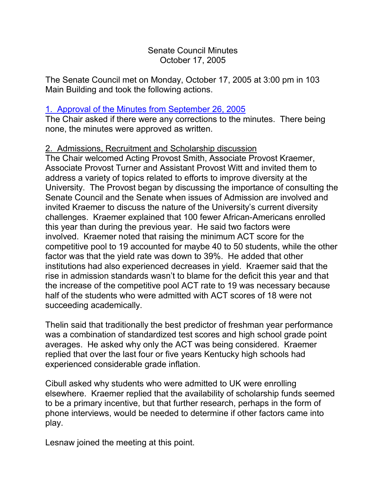#### Senate Council Minutes October 17, 2005

The Senate Council met on Monday, October 17, 2005 at 3:00 pm in 103 Main Building and took the following actions.

# 1. [Approval of the Minutes from September 26, 2005](http://www.uky.edu/USC/New/SCMinutes/SC%20Minutes%20September%2026%202005%20TOSC.htm)

The Chair asked if there were any corrections to the minutes. There being none, the minutes were approved as written.

## 2. Admissions, Recruitment and Scholarship discussion

The Chair welcomed Acting Provost Smith, Associate Provost Kraemer, Associate Provost Turner and Assistant Provost Witt and invited them to address a variety of topics related to efforts to improve diversity at the University. The Provost began by discussing the importance of consulting the Senate Council and the Senate when issues of Admission are involved and invited Kraemer to discuss the nature of the University's current diversity challenges. Kraemer explained that 100 fewer African-Americans enrolled this year than during the previous year. He said two factors were involved. Kraemer noted that raising the minimum ACT score for the competitive pool to 19 accounted for maybe 40 to 50 students, while the other factor was that the yield rate was down to 39%. He added that other institutions had also experienced decreases in yield. Kraemer said that the rise in admission standards wasn't to blame for the deficit this year and that the increase of the competitive pool ACT rate to 19 was necessary because half of the students who were admitted with ACT scores of 18 were not succeeding academically.

Thelin said that traditionally the best predictor of freshman year performance was a combination of standardized test scores and high school grade point averages. He asked why only the ACT was being considered. Kraemer replied that over the last four or five years Kentucky high schools had experienced considerable grade inflation.

Cibull asked why students who were admitted to UK were enrolling elsewhere. Kraemer replied that the availability of scholarship funds seemed to be a primary incentive, but that further research, perhaps in the form of phone interviews, would be needed to determine if other factors came into play.

Lesnaw joined the meeting at this point.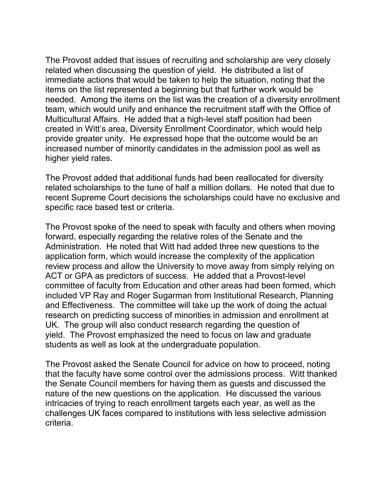The Provost added that issues of recruiting and scholarship are very closely related when discussing the question of yield. He distributed a list of immediate actions that would be taken to help the situation, noting that the items on the list represented a beginning but that further work would be needed. Among the items on the list was the creation of a diversity enrollment team, which would unify and enhance the recruitment staff with the Office of Multicultural Affairs. He added that a high-level staff position had been created in Witt's area, Diversity Enrollment Coordinator, which would help provide greater unity. He expressed hope that the outcome would be an increased number of minority candidates in the admission pool as well as higher yield rates.

The Provost added that additional funds had been reallocated for diversity related scholarships to the tune of half a million dollars. He noted that due to recent Supreme Court decisions the scholarships could have no exclusive and specific race based test or criteria.

The Provost spoke of the need to speak with faculty and others when moving forward, especially regarding the relative roles of the Senate and the Administration. He noted that Witt had added three new questions to the application form, which would increase the complexity of the application review process and allow the University to move away from simply relying on ACT or GPA as predictors of success. He added that a Provost-level committee of faculty from Education and other areas had been formed, which included VP Ray and Roger Sugarman from Institutional Research, Planning and Effectiveness. The committee will take up the work of doing the actual research on predicting success of minorities in admission and enrollment at UK. The group will also conduct research regarding the question of yield. The Provost emphasized the need to focus on law and graduate students as well as look at the undergraduate population.

The Provost asked the Senate Council for advice on how to proceed, noting that the faculty have some control over the admissions process. Witt thanked the Senate Council members for having them as guests and discussed the nature of the new questions on the application. He discussed the various intricacies of trying to reach enrollment targets each year, as well as the challenges UK faces compared to institutions with less selective admission criteria.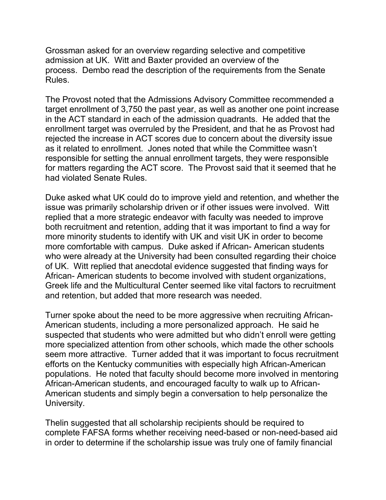Grossman asked for an overview regarding selective and competitive admission at UK. Witt and Baxter provided an overview of the process. Dembo read the description of the requirements from the Senate Rules.

The Provost noted that the Admissions Advisory Committee recommended a target enrollment of 3,750 the past year, as well as another one point increase in the ACT standard in each of the admission quadrants. He added that the enrollment target was overruled by the President, and that he as Provost had rejected the increase in ACT scores due to concern about the diversity issue as it related to enrollment. Jones noted that while the Committee wasn't responsible for setting the annual enrollment targets, they were responsible for matters regarding the ACT score. The Provost said that it seemed that he had violated Senate Rules.

Duke asked what UK could do to improve yield and retention, and whether the issue was primarily scholarship driven or if other issues were involved. Witt replied that a more strategic endeavor with faculty was needed to improve both recruitment and retention, adding that it was important to find a way for more minority students to identify with UK and visit UK in order to become more comfortable with campus. Duke asked if African- American students who were already at the University had been consulted regarding their choice of UK. Witt replied that anecdotal evidence suggested that finding ways for African- American students to become involved with student organizations, Greek life and the Multicultural Center seemed like vital factors to recruitment and retention, but added that more research was needed.

Turner spoke about the need to be more aggressive when recruiting African-American students, including a more personalized approach. He said he suspected that students who were admitted but who didn't enroll were getting more specialized attention from other schools, which made the other schools seem more attractive. Turner added that it was important to focus recruitment efforts on the Kentucky communities with especially high African-American populations. He noted that faculty should become more involved in mentoring African-American students, and encouraged faculty to walk up to African-American students and simply begin a conversation to help personalize the University.

Thelin suggested that all scholarship recipients should be required to complete FAFSA forms whether receiving need-based or non-need-based aid in order to determine if the scholarship issue was truly one of family financial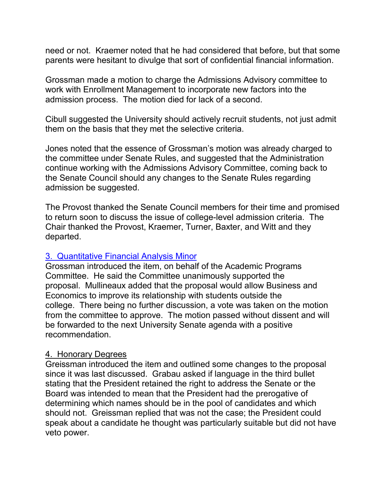need or not. Kraemer noted that he had considered that before, but that some parents were hesitant to divulge that sort of confidential financial information.

Grossman made a motion to charge the Admissions Advisory committee to work with Enrollment Management to incorporate new factors into the admission process. The motion died for lack of a second.

Cibull suggested the University should actively recruit students, not just admit them on the basis that they met the selective criteria.

Jones noted that the essence of Grossman's motion was already charged to the committee under Senate Rules, and suggested that the Administration continue working with the Admissions Advisory Committee, coming back to the Senate Council should any changes to the Senate Rules regarding admission be suggested.

The Provost thanked the Senate Council members for their time and promised to return soon to discuss the issue of college-level admission criteria. The Chair thanked the Provost, Kraemer, Turner, Baxter, and Witt and they departed.

## 3. [Quantitative Financial](http://www.uky.edu/USC/New/Comms/Programs/Quantitative%20Financial%20Analysis%20%20New%20Minor.pdf) Analysis Minor

Grossman introduced the item, on behalf of the Academic Programs Committee. He said the Committee unanimously supported the proposal. Mullineaux added that the proposal would allow Business and Economics to improve its relationship with students outside the college. There being no further discussion, a vote was taken on the motion from the committee to approve. The motion passed without dissent and will be forwarded to the next University Senate agenda with a positive recommendation.

## 4. Honorary Degrees

Greissman introduced the item and outlined some changes to the proposal since it was last discussed. Grabau asked if language in the third bullet stating that the President retained the right to address the Senate or the Board was intended to mean that the President had the prerogative of determining which names should be in the pool of candidates and which should not. Greissman replied that was not the case; the President could speak about a candidate he thought was particularly suitable but did not have veto power.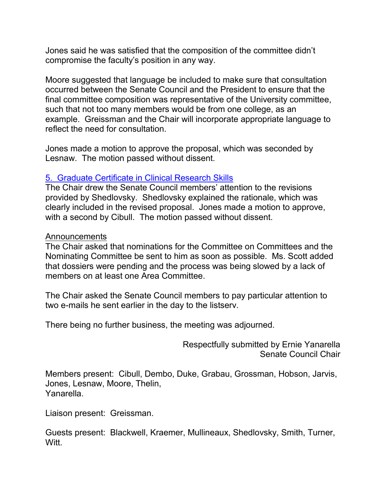Jones said he was satisfied that the composition of the committee didn't compromise the faculty's position in any way.

Moore suggested that language be included to make sure that consultation occurred between the Senate Council and the President to ensure that the final committee composition was representative of the University committee, such that not too many members would be from one college, as an example. Greissman and the Chair will incorporate appropriate language to reflect the need for consultation.

Jones made a motion to approve the proposal, which was seconded by Lesnaw. The motion passed without dissent.

## 5. [Graduate Certificate in Clinical Research Skills](http://www.uky.edu/USC/New/SCAgendas/20050926/Grad%20Certificate%20in%20Clinical%20Research%20Skills.pdf)

The Chair drew the Senate Council members' attention to the revisions provided by Shedlovsky. Shedlovsky explained the rationale, which was clearly included in the revised proposal. Jones made a motion to approve, with a second by Cibull. The motion passed without dissent.

#### Announcements

The Chair asked that nominations for the Committee on Committees and the Nominating Committee be sent to him as soon as possible. Ms. Scott added that dossiers were pending and the process was being slowed by a lack of members on at least one Area Committee.

The Chair asked the Senate Council members to pay particular attention to two e-mails he sent earlier in the day to the listserv.

There being no further business, the meeting was adjourned.

Respectfully submitted by Ernie Yanarella Senate Council Chair

Members present: Cibull, Dembo, Duke, Grabau, Grossman, Hobson, Jarvis, Jones, Lesnaw, Moore, Thelin, Yanarella.

Liaison present: Greissman.

Guests present: Blackwell, Kraemer, Mullineaux, Shedlovsky, Smith, Turner, Witt.